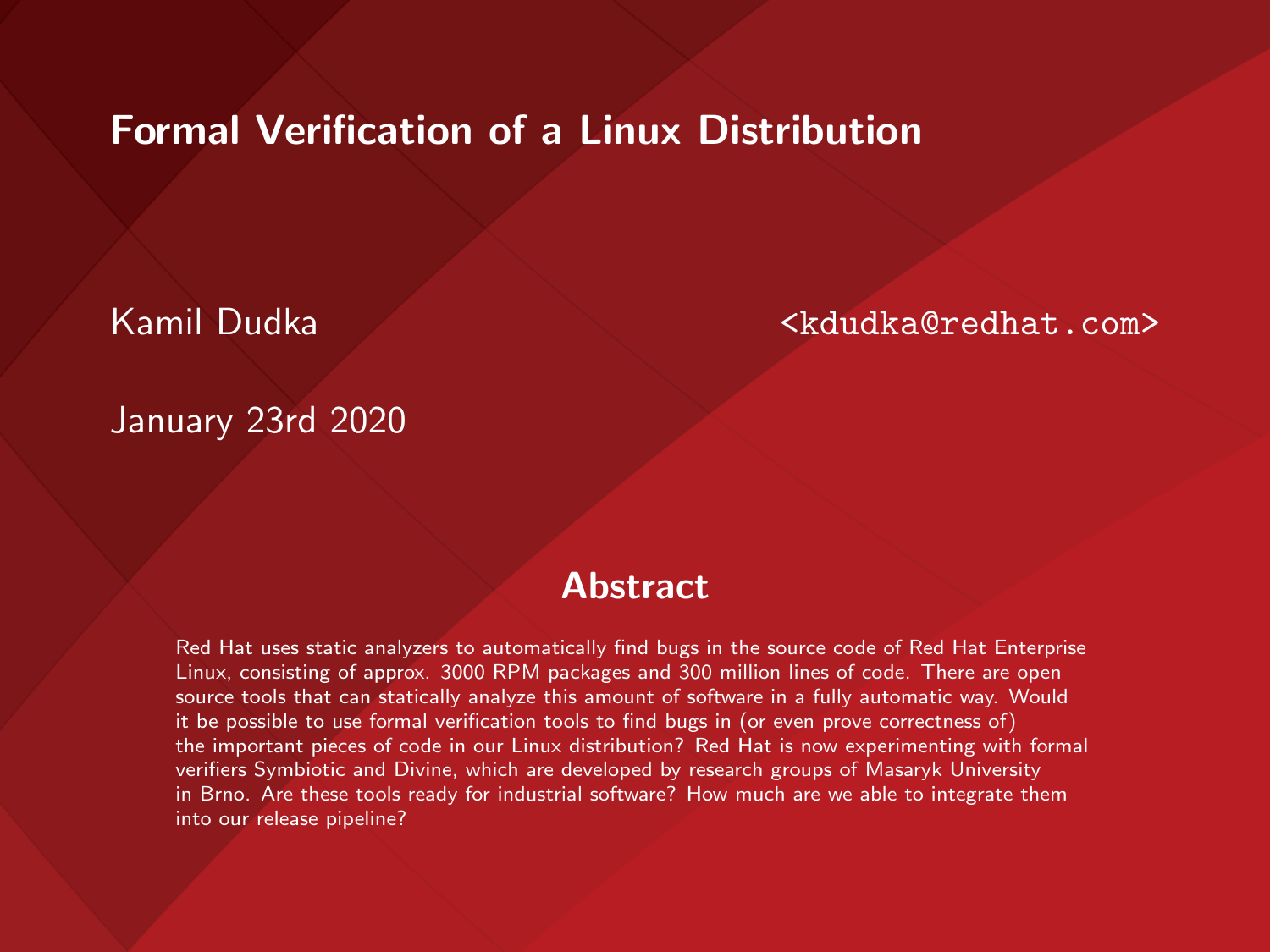#### Formal Verification of a Linux Distribution

Kamil Dudka <kdudka@redhat.com>

January 23rd 2020

#### **Abstract**

Red Hat uses static analyzers to automatically find bugs in the source code of Red Hat Enterprise Linux, consisting of approx. 3000 RPM packages and 300 million lines of code. There are open source tools that can statically analyze this amount of software in a fully automatic way. Would it be possible to use formal verification tools to find bugs in (or even prove correctness of) the important pieces of code in our Linux distribution? Red Hat is now experimenting with formal verifiers Symbiotic and Divine, which are developed by research groups of Masaryk University in Brno. Are these tools ready for industrial software? How much are we able to integrate them into our release pipeline?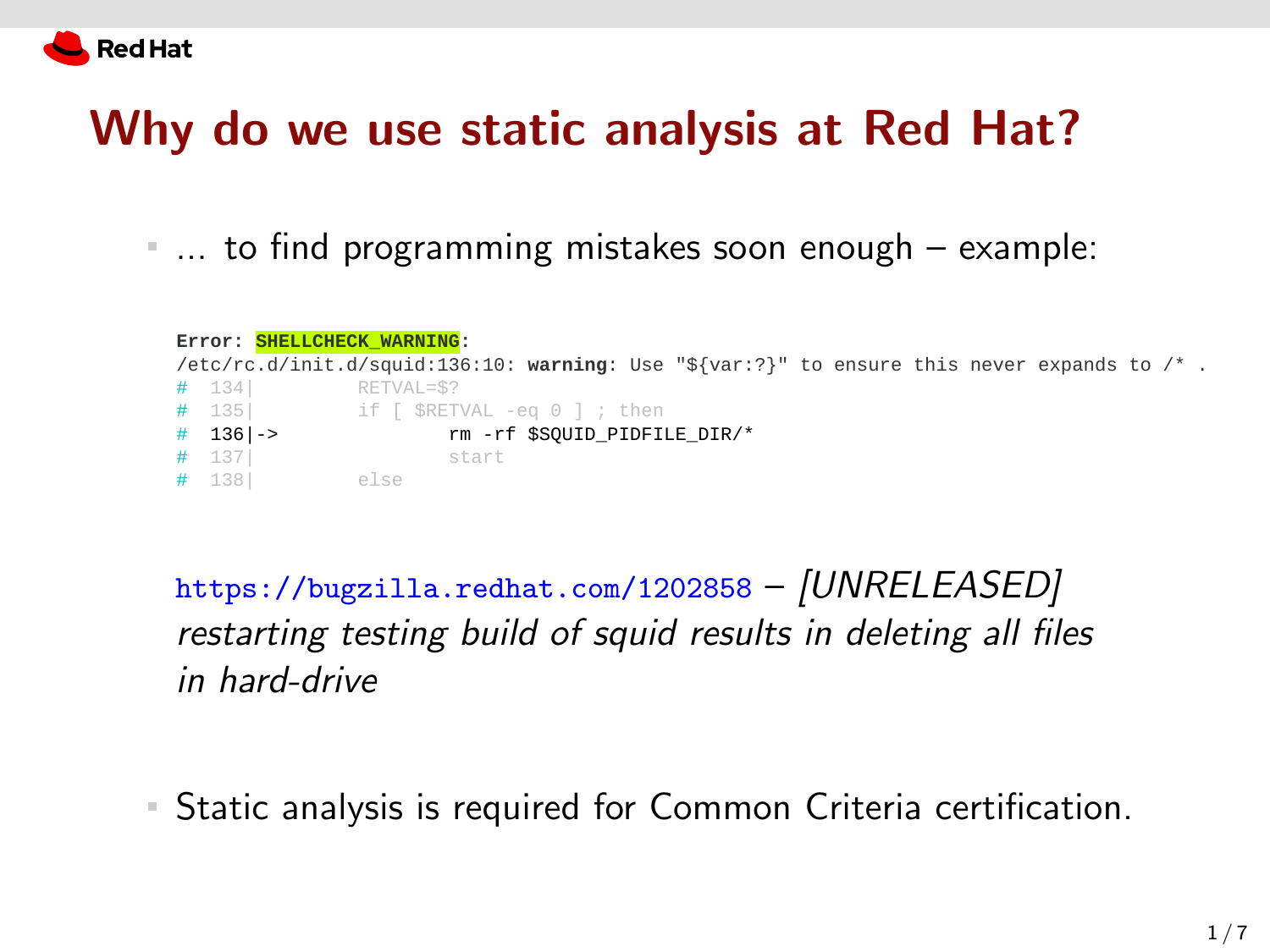

#### Why do we use static analysis at Red Hat?

... to find programming mistakes soon enough – example:

| Error: SHELLCHECK WARNING: |                                                                                             |
|----------------------------|---------------------------------------------------------------------------------------------|
|                            | /etc/rc.d/init.d/squid:136:10: warning: Use "\${var:?}" to ensure this never expands to /*. |
| $#$ 134                    | RETVAL=\$?                                                                                  |
|                            | # 135  if [ \$RETVAL -eq 0 ]; then                                                          |
| $#$ 136   ->               | rm -rf \$SOUID PIDFILE DIR/*                                                                |
| $#$ 137                    | start                                                                                       |
| $#$ 138                    | else                                                                                        |

<https://bugzilla.redhat.com/1202858> – [UNRELEASED] restarting testing build of squid results in deleting all files in hard-drive

Static analysis is required for Common Criteria certification.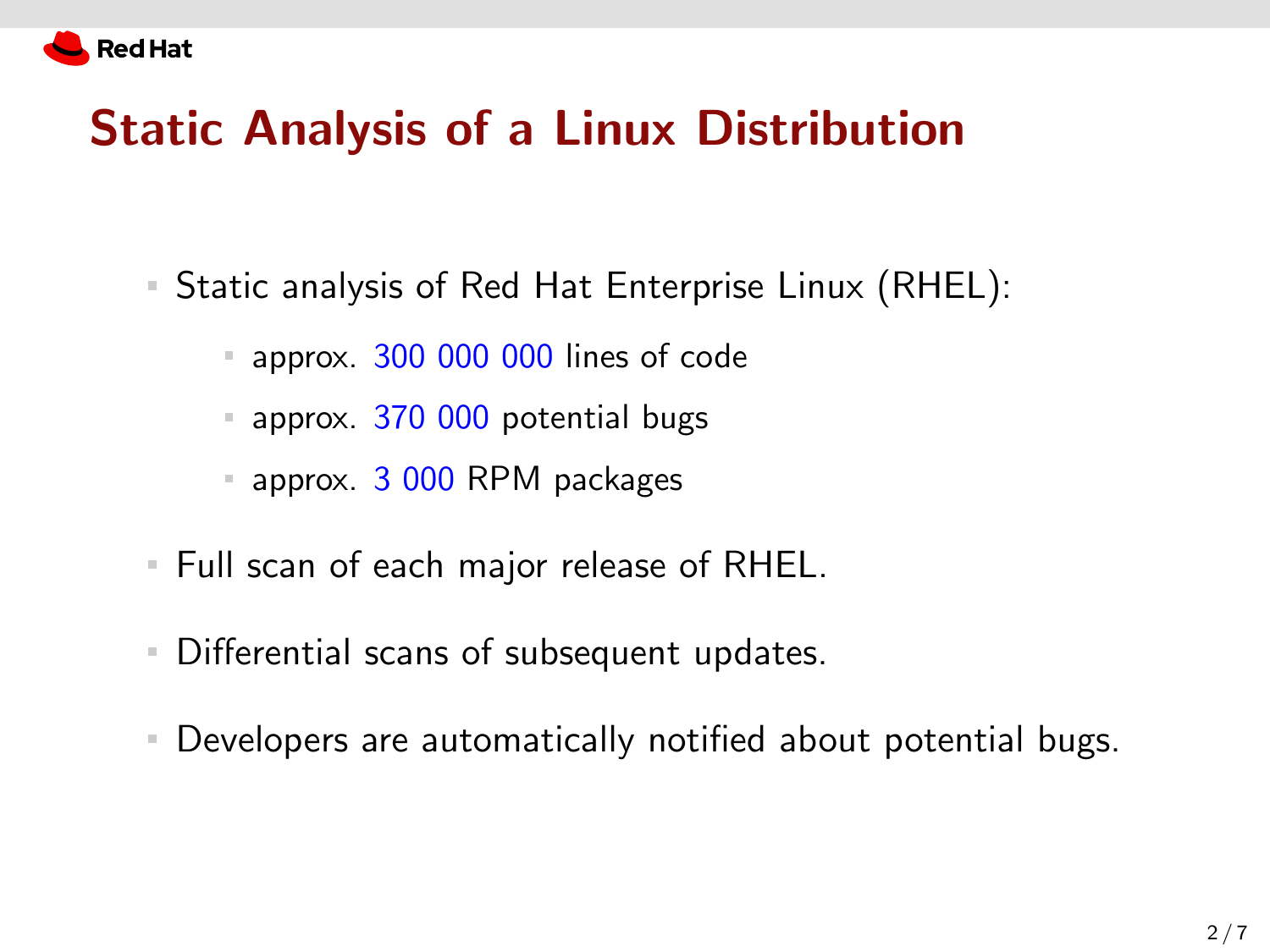

# Static Analysis of a Linux Distribution

- Static analysis of Red Hat Enterprise Linux (RHEL):
	- approx. 300 000 000 lines of code
	- **approx. 370 000 potential bugs**
	- **approx. 3 000 RPM packages**
- Full scan of each major release of RHEL.
- Differential scans of subsequent updates.
- Developers are automatically notified about potential bugs.  $\mathbb{R}^n$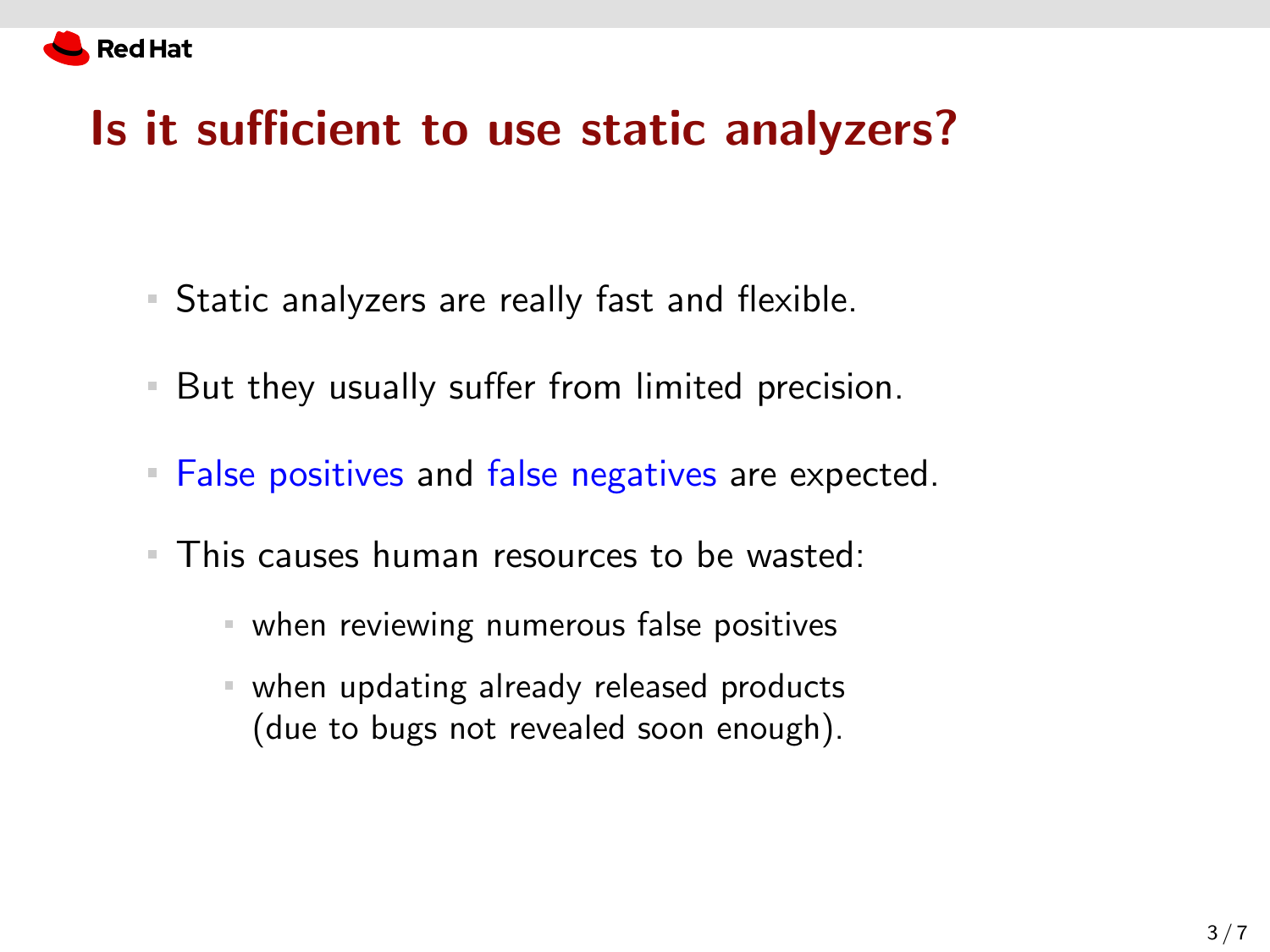

# Is it sufficient to use static analyzers?

- Static analyzers are really fast and flexible.
- But they usually suffer from limited precision.  $\mathbb{R}^n$
- **False positives and false negatives are expected.**
- **This causes human resources to be wasted:** 
	- when reviewing numerous false positives
	- when updating already released products (due to bugs not revealed soon enough).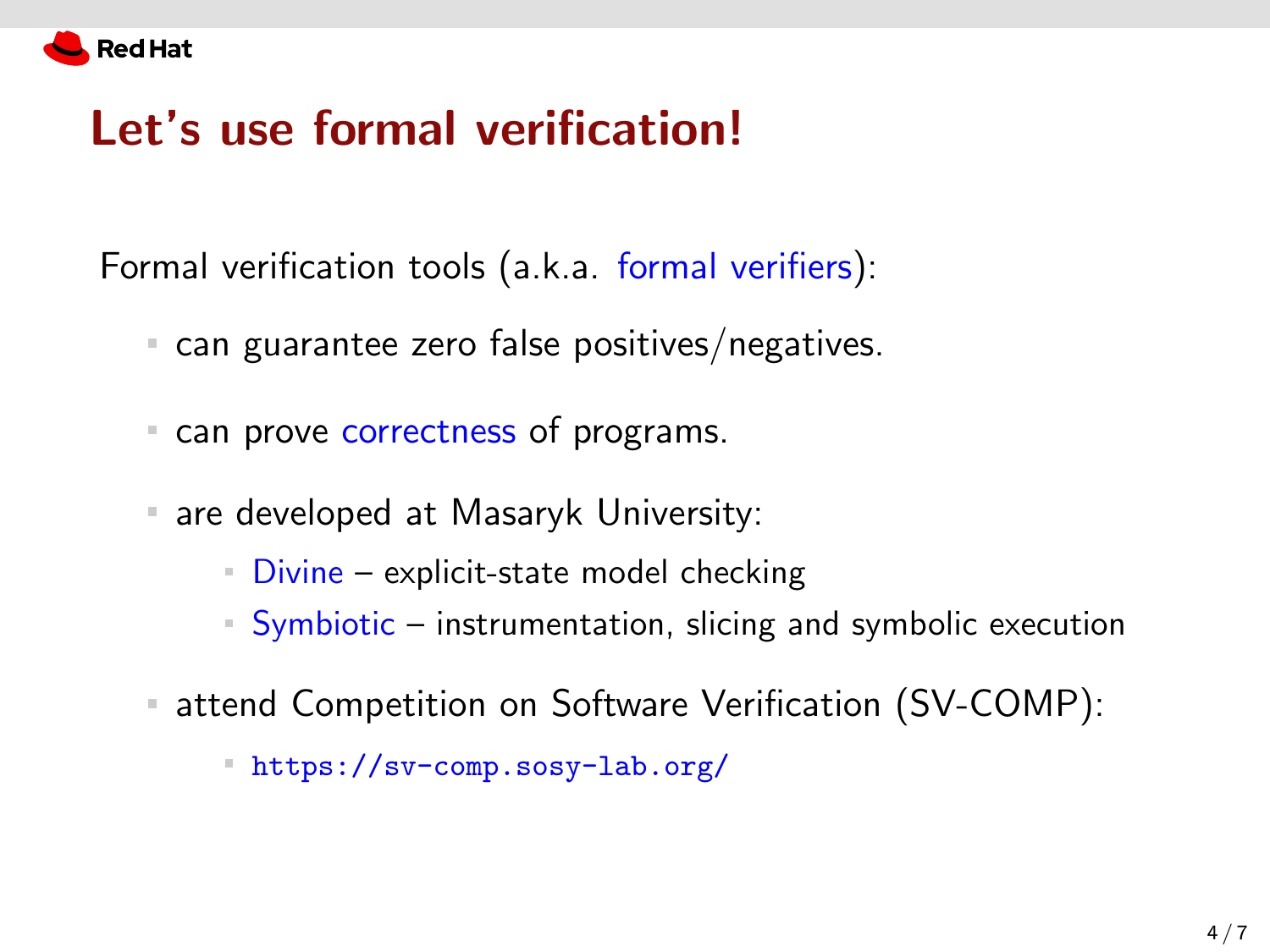

# Let's use formal verification!

Formal verification tools (a.k.a. formal verifiers):

- can guarantee zero false positives/negatives.
- " can prove correctness of programs.
- are developed at Masaryk University:  $\equiv$ 
	- $\blacksquare$  Divine explicit-state model checking
	- Symbiotic instrumentation, slicing and symbolic execution
- attend Competition on Software Verification (SV-COMP):

<https://sv-comp.sosy-lab.org/>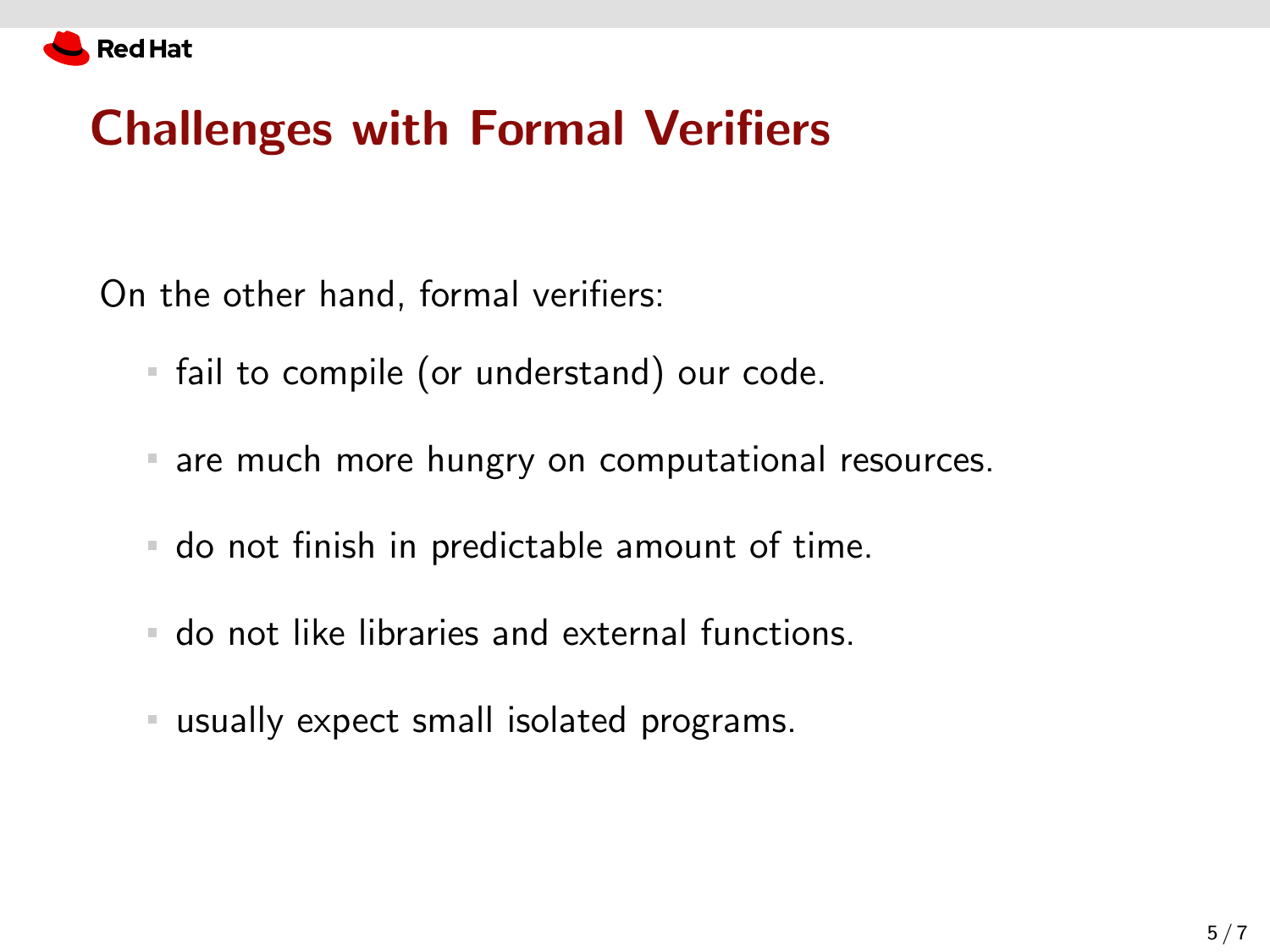

# Challenges with Formal Verifiers

On the other hand, formal verifiers:

- fail to compile (or understand) our code.
- are much more hungry on computational resources.
- do not finish in predictable amount of time.
- do not like libraries and external functions.
- usually expect small isolated programs.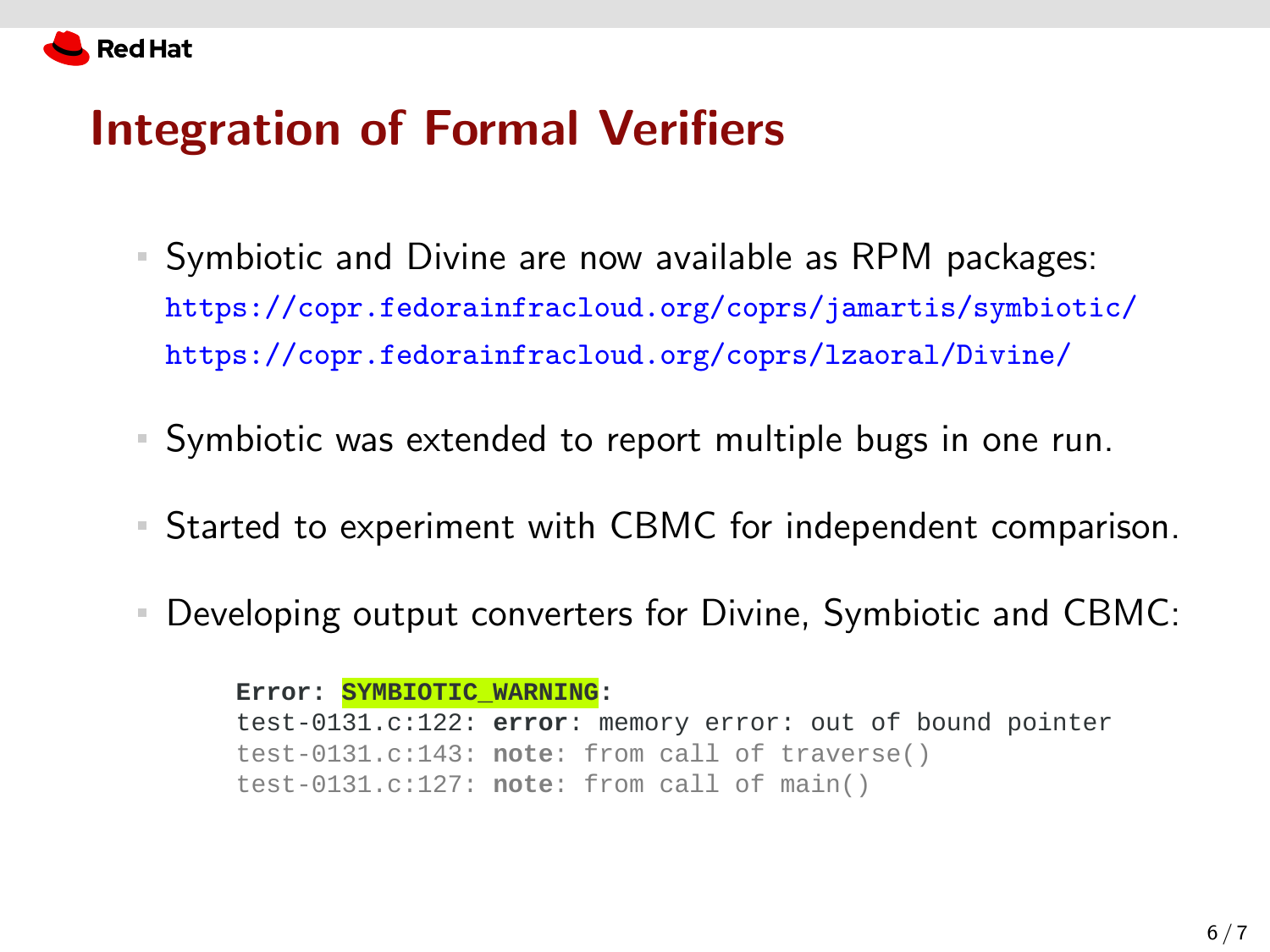

#### Integration of Formal Verifiers

- Symbiotic and Divine are now available as RPM packages: <https://copr.fedorainfracloud.org/coprs/jamartis/symbiotic/> <https://copr.fedorainfracloud.org/coprs/lzaoral/Divine/>
- Symbiotic was extended to report multiple bugs in one run.
- Started to experiment with CBMC for independent comparison.
- Developing output converters for Divine, Symbiotic and CBMC: ш

**Error: SYMBIOTIC\_WARNING:** test-0131.c:122: **error**: memory error: out of bound pointer test-0131.c:143: **note**: from call of traverse() test-0131.c:127: **note**: from call of main()